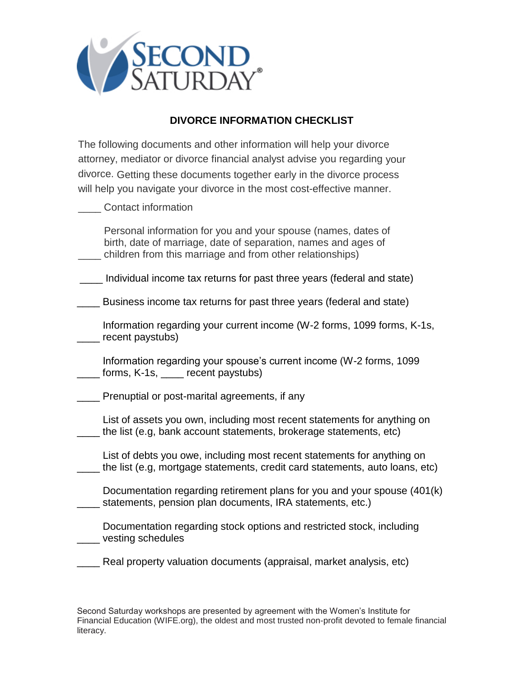

## **DIVORCE INFORMATION CHECKLIST**

The following documents and other information will help your divorce attorney, mediator or divorce financial analyst advise you regarding your divorce. Getting these documents together early in the divorce process will help you navigate your divorce in the most cost-effective manner.

\_\_\_\_ Contact information

 Personal information for you and your spouse (names, dates of birth, date of marriage, date of separation, names and ages of children from this marriage and from other relationships)

\_\_\_\_ Individual income tax returns for past three years (federal and state)

Business income tax returns for past three years (federal and state)

 Information regarding your current income (W-2 forms, 1099 forms, K-1s, \_\_\_\_ recent paystubs)

 Information regarding your spouse's current income (W-2 forms, 1099 forms, K-1s, execent paystubs)

\_\_\_\_ Prenuptial or post-marital agreements, if any

 List of assets you own, including most recent statements for anything on the list (e.g, bank account statements, brokerage statements, etc)

 List of debts you owe, including most recent statements for anything on \_\_\_\_ the list (e.g, mortgage statements, credit card statements, auto loans, etc)

 Documentation regarding retirement plans for you and your spouse (401(k) \_\_\_\_ statements, pension plan documents, IRA statements, etc.)

 Documentation regarding stock options and restricted stock, including \_\_\_\_ vesting schedules

\_\_\_\_ Real property valuation documents (appraisal, market analysis, etc)

Second Saturday workshops are presented by agreement with the Women's Institute for Financial Education (WIFE.org), the oldest and most trusted non-profit devoted to female financial literacy.